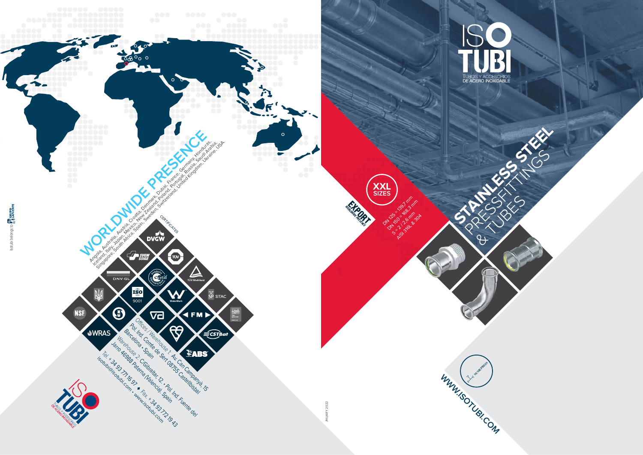